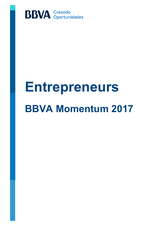

# **Entrepreneurs BBVA Momentum 2017**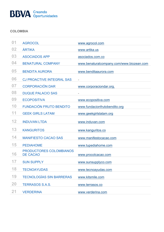# **BBVA** Creando

#### **COLOMBIA**

| 01        | <b>AGROCOL</b>                                    | www.agrocol.com                          |
|-----------|---------------------------------------------------|------------------------------------------|
| 02        | ÁRTIKA                                            | www.artika.us                            |
| 03        | <b>ASOCIADOS APP</b>                              | asociados.com.co                         |
| 04        | <b>BENATURAL COMPANY</b>                          | www.benaturalcompany.com/www.biozean.com |
| 05        | <b>BENDITA AURORA</b>                             | www.benditaaurora.com                    |
| 06        | <b>CJ PROACTIVE INTEGRAL SAS</b>                  |                                          |
| 07        | <b>CORPORACIÓN DAR</b>                            | www.corporaciondar.org.                  |
| 08        | <b>DUQUE PALACIO SAS</b>                          | $\overline{\phantom{0}}$                 |
| 09        | <b>ECOPOSITIVA</b>                                | www.ecopositiva.com                      |
| 10        | <b>FUNDACIÓN FRUTO BENDITO</b>                    | www.fundacionfrutobendito.org            |
| 11        | <b>GEEK GIRLS LATAM</b>                           | www.geekgirlslatam.org                   |
|           |                                                   |                                          |
| 12        | <b>INDUVAN LTDA</b>                               | www.induvan.com                          |
| 13        | <b>KANGURITOS</b>                                 | www.kanguritos.co                        |
| 14        | <b>MANIFIESTO CACAO SAS</b>                       | www.manifestocacao.com                   |
| 15        | <b>PEDIAHOME</b>                                  | www.tupediahome.com                      |
| 16        | <b>PRODUCTORES COLOMBIANOS</b><br><b>DE CACAO</b> | www.procolcacao.com                      |
| 17        | <b>SUN SUPPLY</b>                                 | www.sunsupplyco.com                      |
| 18        | <b>TECNOAYUDAS</b>                                | www.tecnoayudas.com                      |
| 19        | <b>TECNOLOGÍAS SIN BARRERAS</b>                   | www.kitsmile.com                         |
| <b>20</b> | <b>TERRASOS S.A.S.</b>                            | www.terrasos.co                          |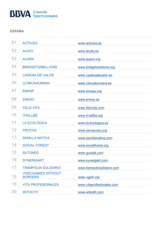# **BBVA** Creando

#### **ESPAÑA**

| 01 | <b>ACTIVIZA</b>                             | www.activiza.es            |
|----|---------------------------------------------|----------------------------|
| 02 | <b>AIUDO</b>                                | www.aiudo.es               |
| 03 | <b>AUARA</b>                                | www.auara.org              |
| 04 | <b>BRIDGEFORBILLIONS</b>                    | www.bridgeforbillions.org  |
| 05 | <b>CADENA DE VALOR</b>                      | www.cadenadevalor.es       |
| 06 | <b>CLÍNICAHUMANA</b>                        | www.clinicahumana.es       |
| 07 | <b>EMASP</b>                                | www.emasp.org              |
| 08 | <b>ENESO</b>                                | www.eneso.es               |
| 09 | <b>FELIZ VITA</b>                           | www.felizvita.com          |
| 10 | <b>ITWILLBE</b>                             | www.it-willbe.org          |
| 11 | LA ECOLÓGICA                                | www.la-ecologica.es        |
| 12 | <b>PROTOS</b>                               | www.zeroacoso.org          |
| 13 | <b>SEMILLA NATIVA</b>                       | www.semillanativa.com      |
| 14 | <b>SOCIAL FOREST</b>                        | www.socialforest.org       |
| 15 | <b>SUTONDO</b>                              | www.gureak.com             |
| 16 | <b>SYNERGIART</b>                           | www.synergiart.com         |
| 17 | <b>TRAMPOLÍN SOLIDARIO</b>                  | www.trampolinsolidario.com |
| 18 | <b>VIDEOGAMES WITHOUT</b><br><b>BORDERS</b> | www.vgwb.org               |
| 19 | <b>VITA PROFESIONALES</b>                   | www.vitaprofesionales.com  |
| 20 | <b>WITOOTH</b>                              | www.witooth.com            |
|    |                                             |                            |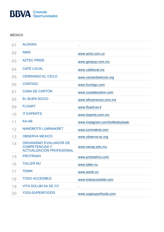

### **MÉXICO**

| 01 | <b>ALDAWA</b>                                                                       |                                 |
|----|-------------------------------------------------------------------------------------|---------------------------------|
| 02 | <b>AMIS</b>                                                                         | www.amis.com.co                 |
| 03 | <b>AZTEC PRIDE</b>                                                                  | www.geopop.com.mx               |
| 04 | <b>CAFÉ LOCAL</b>                                                                   | www.cafelocal.mx                |
| 05 | <b>CERRANDO EL CICLO</b>                                                            | www.cerrandoelciclo.org         |
| 06 | <b>CONTIGO</b>                                                                      | www.fcontigo.com                |
| 07 | <b>CUNA DE CARTON</b>                                                               | www.cunadecarton.com            |
| 08 | <b>EL BUEN SOCIO</b>                                                                | www.elbuensocio.com.mx          |
| 09 | <b>FLOART</b>                                                                       | www.floartt.es.tl               |
| 10 | <b>IT EXPERTS</b>                                                                   | www.itxperts.com.mx             |
| 11 | <b>KA-AB</b>                                                                        | www.instagram.com/bottlesbykaab |
| 12 | <b>NANOBOTS LUMINAKRET</b>                                                          | www.luminakret.com              |
| 13 | <b>OBSERVA MEXICO</b>                                                               | www.observa-ac.org              |
| 14 | <b>ORGANISMO EVALUADOR DE</b><br><b>COMPETENCIAS Y</b><br>ACTUALIZACIÓN PROFESIONAL | www.oecap.edu.mx                |
| 15 | <b>PROTRASH</b>                                                                     | www.protrashco.com              |
| 16 | <b>TALLER NU</b>                                                                    | www.taller.nu                   |
| 17 | <b>TEMIK</b>                                                                        | www.temik.co                    |
| 18 | <b>TODO ACCESIBLE</b>                                                               | www.todoaccesible.com           |
| 19 | <b>VITA SOLUM SA DE CV</b>                                                          | $\overline{\phantom{a}}$        |
| 20 | <b>YOGI-SUPERFOODS</b>                                                              | www.yogisuperfoods.com          |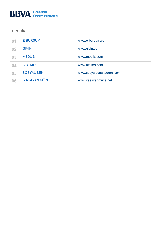# **BBVA** Creando

### **TURQUÍA**

| $\mathbf{0}$ | <b>E-BURSUM</b>   | www.e-bursum.com         |
|--------------|-------------------|--------------------------|
| 02           | <b>GIVIN</b>      | www.givin.co             |
| 03           | <b>MEDLIS</b>     | www.medlis.com           |
| 04           | <b>OTSIMO</b>     | www.otsimo.com           |
| 05           | <b>SOSYAL BEN</b> | www.sosyalbenakademi.com |
| 06           | YAŞAYAN MÜZE      | www.yasayanmuze.net      |